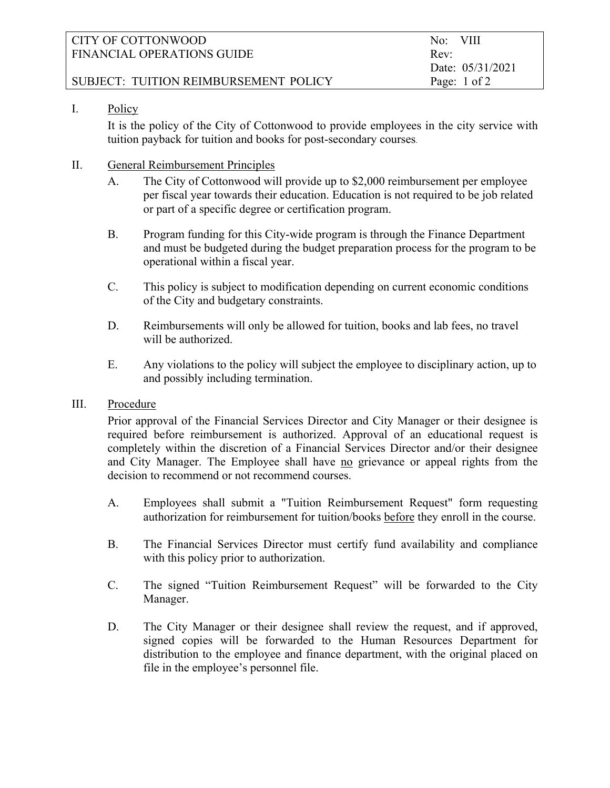| CITY OF COTTONWOOD                    | No: VIII                |
|---------------------------------------|-------------------------|
| FINANCIAL OPERATIONS GUIDE            | Rev:                    |
|                                       | Date: 05/31/2021        |
| SUBJECT: TUITION REIMBURSEMENT POLICY | Page: $1 \text{ of } 2$ |

# I. Policy

 It is the policy of the City of Cottonwood to provide employees in the city service with tuition payback for tuition and books for post-secondary courses.

# II. General Reimbursement Principles

- A. The City of Cottonwood will provide up to \$2,000 reimbursement per employee per fiscal year towards their education. Education is not required to be job related or part of a specific degree or certification program.
- B. Program funding for this City-wide program is through the Finance Department and must be budgeted during the budget preparation process for the program to be operational within a fiscal year.
- C. This policy is subject to modification depending on current economic conditions of the City and budgetary constraints.
- D. Reimbursements will only be allowed for tuition, books and lab fees, no travel will be authorized.
- E. Any violations to the policy will subject the employee to disciplinary action, up to and possibly including termination.

## III. Procedure

Prior approval of the Financial Services Director and City Manager or their designee is required before reimbursement is authorized. Approval of an educational request is completely within the discretion of a Financial Services Director and/or their designee and City Manager. The Employee shall have no grievance or appeal rights from the decision to recommend or not recommend courses.

- A. Employees shall submit a "Tuition Reimbursement Request" form requesting authorization for reimbursement for tuition/books before they enroll in the course.
- B. The Financial Services Director must certify fund availability and compliance with this policy prior to authorization.
- C. The signed "Tuition Reimbursement Request" will be forwarded to the City Manager.
- D. The City Manager or their designee shall review the request, and if approved, signed copies will be forwarded to the Human Resources Department for distribution to the employee and finance department, with the original placed on file in the employee's personnel file.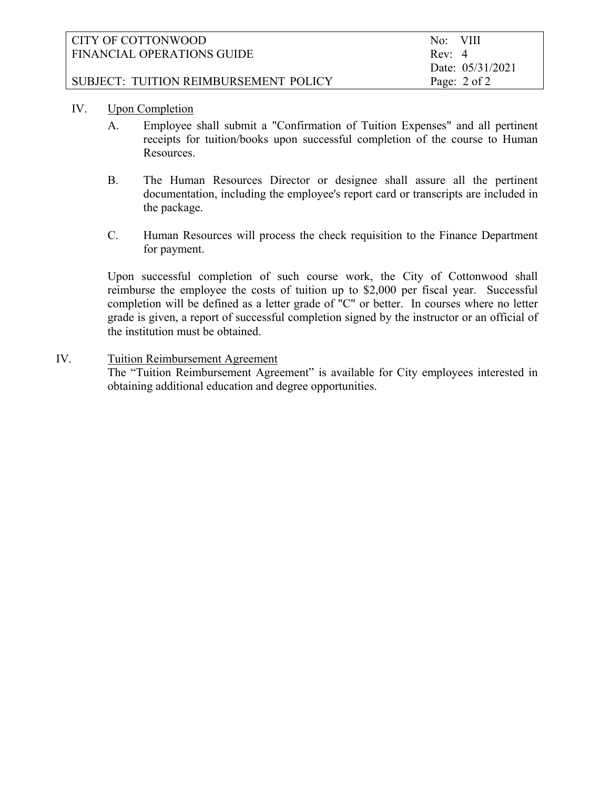| CITY OF COTTONWOOD                    | No: VIII                |
|---------------------------------------|-------------------------|
| FINANCIAL OPERATIONS GUIDE            | Rev: 4                  |
|                                       | Date: 05/31/2021        |
| SUBJECT: TUITION REIMBURSEMENT POLICY | Page: $2 \text{ of } 2$ |

# IV. Upon Completion

- A. Employee shall submit a "Confirmation of Tuition Expenses" and all pertinent receipts for tuition/books upon successful completion of the course to Human Resources.
- B. The Human Resources Director or designee shall assure all the pertinent documentation, including the employee's report card or transcripts are included in the package.
- C. Human Resources will process the check requisition to the Finance Department for payment.

Upon successful completion of such course work, the City of Cottonwood shall reimburse the employee the costs of tuition up to \$2,000 per fiscal year. Successful completion will be defined as a letter grade of "C" or better. In courses where no letter grade is given, a report of successful completion signed by the instructor or an official of the institution must be obtained.

# IV. Tuition Reimbursement Agreement

 The "Tuition Reimbursement Agreement" is available for City employees interested in obtaining additional education and degree opportunities.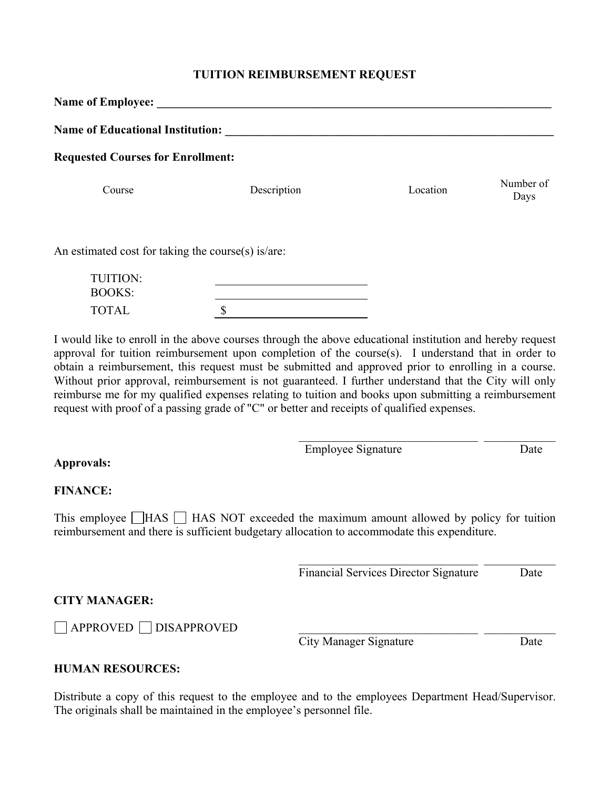## **TUITION REIMBURSEMENT REQUEST**

| <b>Name of Employee:</b>                           |             |          |                   |  |  |
|----------------------------------------------------|-------------|----------|-------------------|--|--|
| <b>Name of Educational Institution:</b>            |             |          |                   |  |  |
| <b>Requested Courses for Enrollment:</b>           |             |          |                   |  |  |
| Course                                             | Description | Location | Number of<br>Days |  |  |
| An estimated cost for taking the course(s) is/are: |             |          |                   |  |  |
| <b>TUITION:</b><br><b>BOOKS:</b>                   |             |          |                   |  |  |

I would like to enroll in the above courses through the above educational institution and hereby request approval for tuition reimbursement upon completion of the course(s). I understand that in order to obtain a reimbursement, this request must be submitted and approved prior to enrolling in a course. Without prior approval, reimbursement is not guaranteed. I further understand that the City will only reimburse me for my qualified expenses relating to tuition and books upon submitting a reimbursement request with proof of a passing grade of "C" or better and receipts of qualified expenses.

| Employee Signature | Jate |
|--------------------|------|

### **Approvals:**

### **FINANCE:**

This employee  $\Box$  HAS  $\Box$  HAS NOT exceeded the maximum amount allowed by policy for tuition reimbursement and there is sufficient budgetary allocation to accommodate this expenditure.

Financial Services Director Signature Date

\_\_\_\_\_\_\_\_\_\_\_\_\_\_\_\_\_\_\_\_\_\_\_\_\_\_\_\_\_\_ \_\_\_\_\_\_\_\_\_\_\_\_

## **CITY MANAGER:**

 $\Box$  APPROVED  $\Box$  DISAPPROVED

TOTAL \$

City Manager Signature Date

### **HUMAN RESOURCES:**

Distribute a copy of this request to the employee and to the employees Department Head/Supervisor. The originals shall be maintained in the employee's personnel file.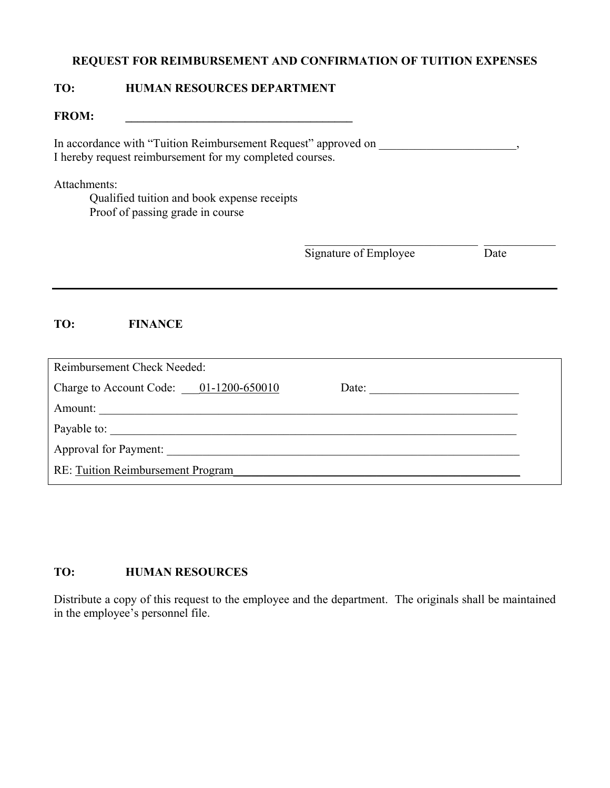# **REQUEST FOR REIMBURSEMENT AND CONFIRMATION OF TUITION EXPENSES**

## **TO: HUMAN RESOURCES DEPARTMENT**

FROM:

In accordance with "Tuition Reimbursement Request" approved on  $\,$ , I hereby request reimbursement for my completed courses.

### Attachments:

Qualified tuition and book expense receipts Proof of passing grade in course

Signature of Employee Date

# **TO: FINANCE**

| Reimbursement Check Needed:              |       |
|------------------------------------------|-------|
| Charge to Account Code: $01-1200-650010$ | Date: |
| Amount:                                  |       |
| Payable to:                              |       |
| <b>Approval for Payment:</b>             |       |
| <b>RE: Tuition Reimbursement Program</b> |       |

# **TO: HUMAN RESOURCES**

Distribute a copy of this request to the employee and the department. The originals shall be maintained in the employee's personnel file.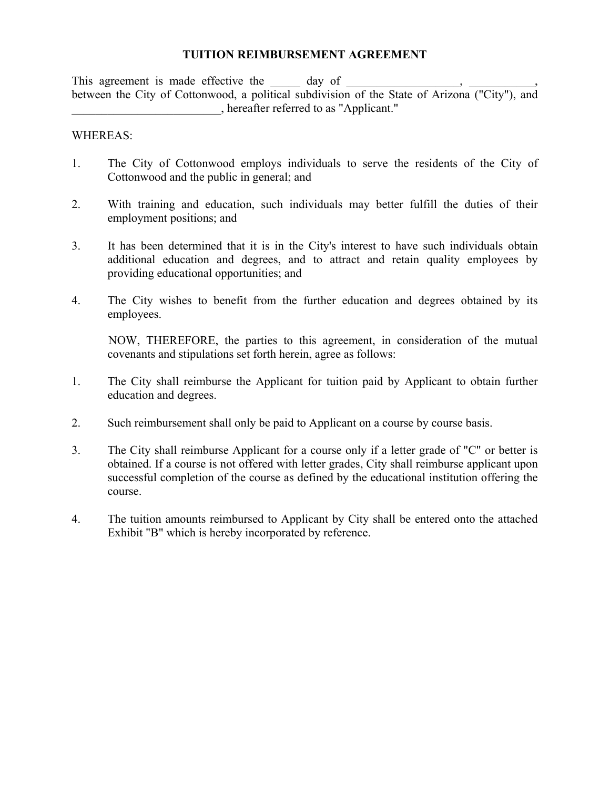## **TUITION REIMBURSEMENT AGREEMENT**

This agreement is made effective the \_\_\_\_\_\_\_\_ day of \_\_\_\_\_\_\_ between the City of Cottonwood, a political subdivision of the State of Arizona ("City"), and \_\_\_\_\_\_\_\_\_\_\_\_\_\_\_\_\_\_\_\_\_\_\_\_\_, hereafter referred to as "Applicant."

### WHEREAS:

- 1. The City of Cottonwood employs individuals to serve the residents of the City of Cottonwood and the public in general; and
- 2. With training and education, such individuals may better fulfill the duties of their employment positions; and
- 3. It has been determined that it is in the City's interest to have such individuals obtain additional education and degrees, and to attract and retain quality employees by providing educational opportunities; and
- 4. The City wishes to benefit from the further education and degrees obtained by its employees.

NOW, THEREFORE, the parties to this agreement, in consideration of the mutual covenants and stipulations set forth herein, agree as follows:

- 1. The City shall reimburse the Applicant for tuition paid by Applicant to obtain further education and degrees.
- 2. Such reimbursement shall only be paid to Applicant on a course by course basis.
- 3. The City shall reimburse Applicant for a course only if a letter grade of "C" or better is obtained. If a course is not offered with letter grades, City shall reimburse applicant upon successful completion of the course as defined by the educational institution offering the course.
- 4. The tuition amounts reimbursed to Applicant by City shall be entered onto the attached Exhibit "B" which is hereby incorporated by reference.